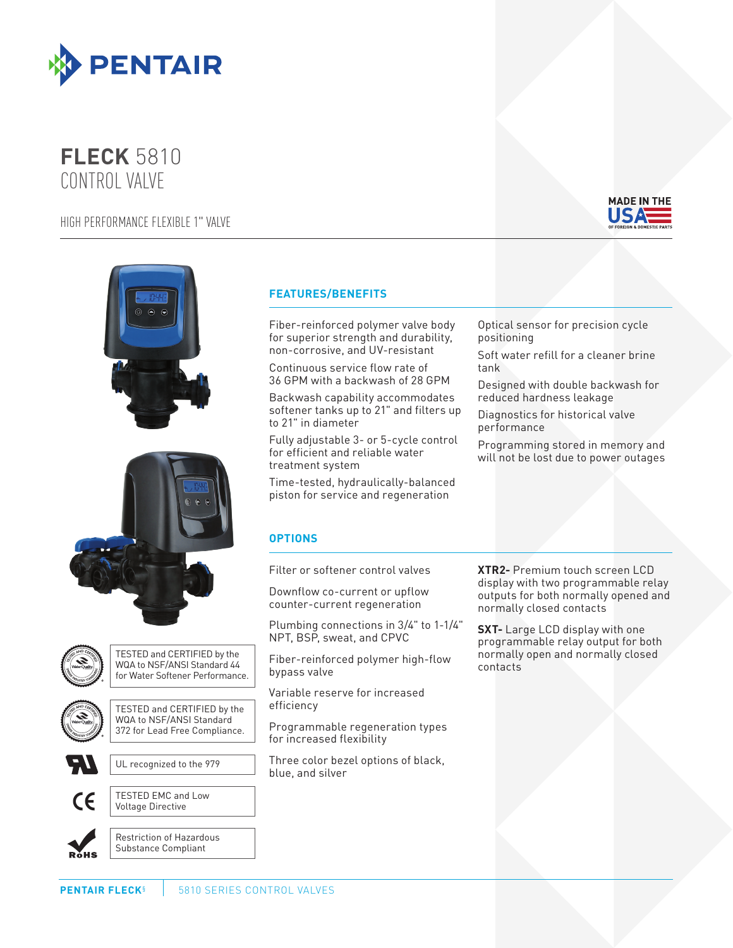

## **FLECK** 5810 CONTROL VALVE

HIGH PERFORMANCE FLEXIBLE 1" VALVE









TESTED and CERTIFIED by the WQA to NSF/ANSI Standard 44 for Water Softener Performance.



TESTED and CERTIFIED by the WQA to NSF/ANSI Standard 372 for Lead Free Compliance.



UL recognized to the 979



TESTED EMC and Low Voltage Directive



Restriction of Hazardous Substance Compliant

## **FEATURES/BENEFITS**

Fiber-reinforced polymer valve body for superior strength and durability, non-corrosive, and UV-resistant

Continuous service flow rate of 36 GPM with a backwash of 28 GPM

Backwash capability accommodates softener tanks up to 21" and filters up to 21" in diameter

Fully adjustable 3- or 5-cycle control for efficient and reliable water treatment system

Time-tested, hydraulically-balanced piston for service and regeneration

## **OPTIONS**

Filter or softener control valves

Downflow co-current or upflow counter-current regeneration

Plumbing connections in 3/4" to 1-1/4" NPT, BSP, sweat, and CPVC

Fiber-reinforced polymer high-flow bypass valve

Variable reserve for increased efficiency

Programmable regeneration types for increased flexibility

Three color bezel options of black, blue, and silver

Designed with double backwash for reduced hardness leakage Diagnostics for historical valve

performance

Optical sensor for precision cycle

Soft water refill for a cleaner brine

positioning

tank

Programming stored in memory and will not be lost due to power outages

**XTR2-** Premium touch screen LCD display with two programmable relay outputs for both normally opened and normally closed contacts

**SXT-** Large LCD display with one programmable relay output for both normally open and normally closed contacts